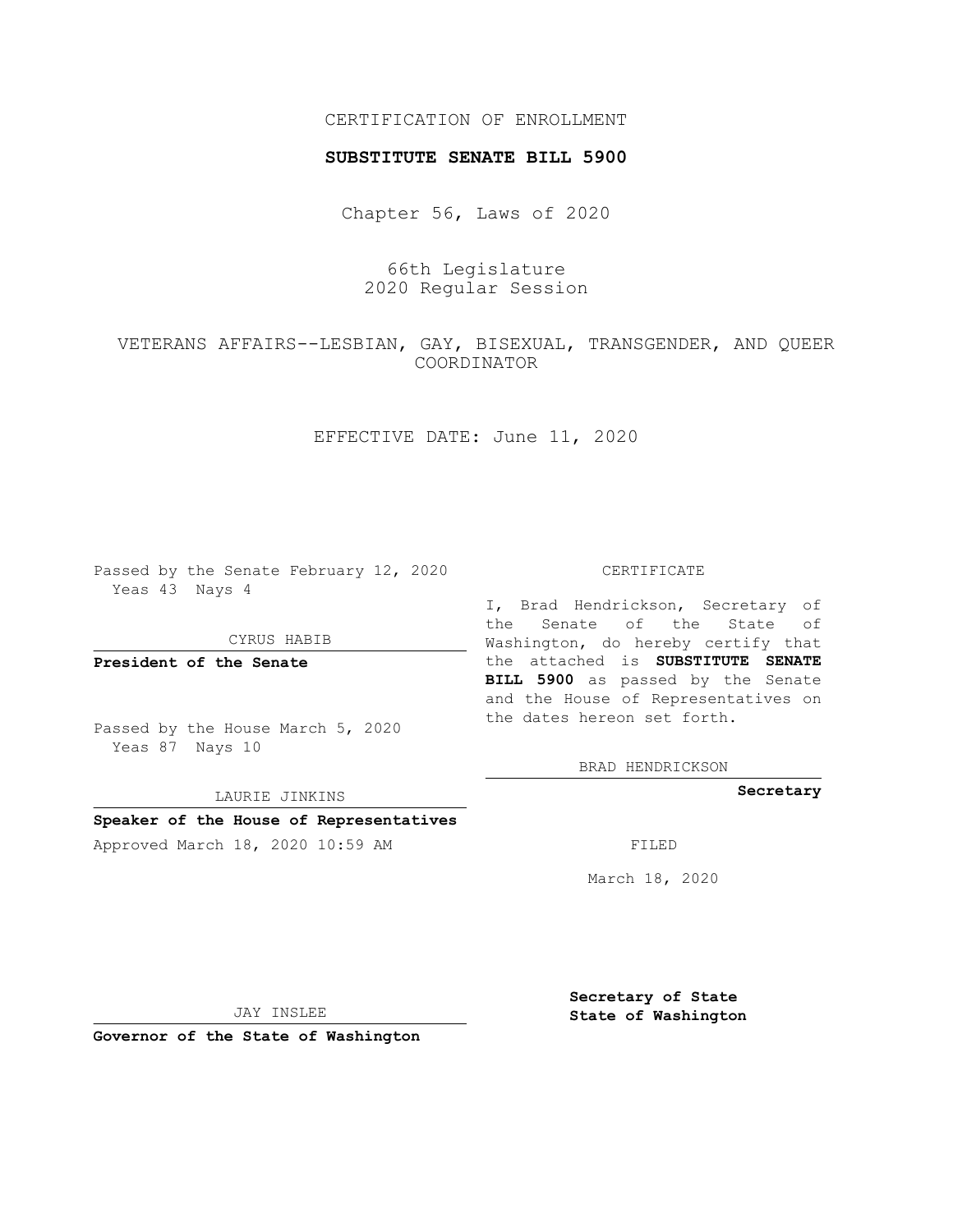# CERTIFICATION OF ENROLLMENT

## **SUBSTITUTE SENATE BILL 5900**

Chapter 56, Laws of 2020

66th Legislature 2020 Regular Session

VETERANS AFFAIRS--LESBIAN, GAY, BISEXUAL, TRANSGENDER, AND QUEER COORDINATOR

EFFECTIVE DATE: June 11, 2020

Passed by the Senate February 12, 2020 Yeas 43 Nays 4

CYRUS HABIB

**President of the Senate**

Passed by the House March 5, 2020 Yeas 87 Nays 10

LAURIE JINKINS

## **Speaker of the House of Representatives**

Approved March 18, 2020 10:59 AM FILED

#### CERTIFICATE

I, Brad Hendrickson, Secretary of the Senate of the State of Washington, do hereby certify that the attached is **SUBSTITUTE SENATE BILL 5900** as passed by the Senate and the House of Representatives on the dates hereon set forth.

BRAD HENDRICKSON

**Secretary**

March 18, 2020

JAY INSLEE

**Governor of the State of Washington**

**Secretary of State State of Washington**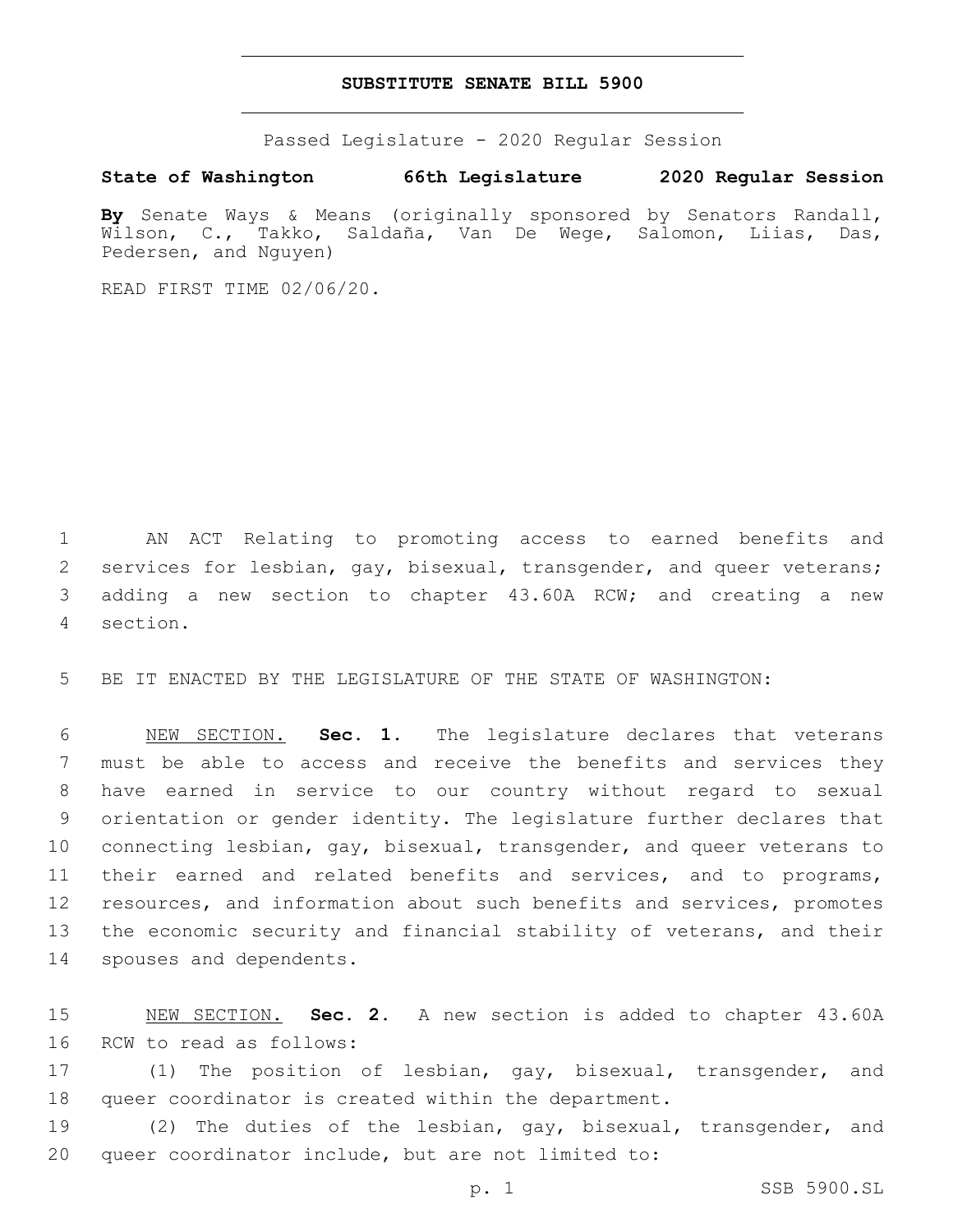## **SUBSTITUTE SENATE BILL 5900**

Passed Legislature - 2020 Regular Session

**State of Washington 66th Legislature 2020 Regular Session**

**By** Senate Ways & Means (originally sponsored by Senators Randall, Wilson, C., Takko, Saldaña, Van De Wege, Salomon, Liias, Das, Pedersen, and Nguyen)

READ FIRST TIME 02/06/20.

 AN ACT Relating to promoting access to earned benefits and services for lesbian, gay, bisexual, transgender, and queer veterans; adding a new section to chapter 43.60A RCW; and creating a new section.4

BE IT ENACTED BY THE LEGISLATURE OF THE STATE OF WASHINGTON:

 NEW SECTION. **Sec. 1.** The legislature declares that veterans must be able to access and receive the benefits and services they have earned in service to our country without regard to sexual orientation or gender identity. The legislature further declares that connecting lesbian, gay, bisexual, transgender, and queer veterans to their earned and related benefits and services, and to programs, resources, and information about such benefits and services, promotes the economic security and financial stability of veterans, and their spouses and dependents.

 NEW SECTION. **Sec. 2.** A new section is added to chapter 43.60A 16 RCW to read as follows:

 (1) The position of lesbian, gay, bisexual, transgender, and queer coordinator is created within the department.

 (2) The duties of the lesbian, gay, bisexual, transgender, and queer coordinator include, but are not limited to: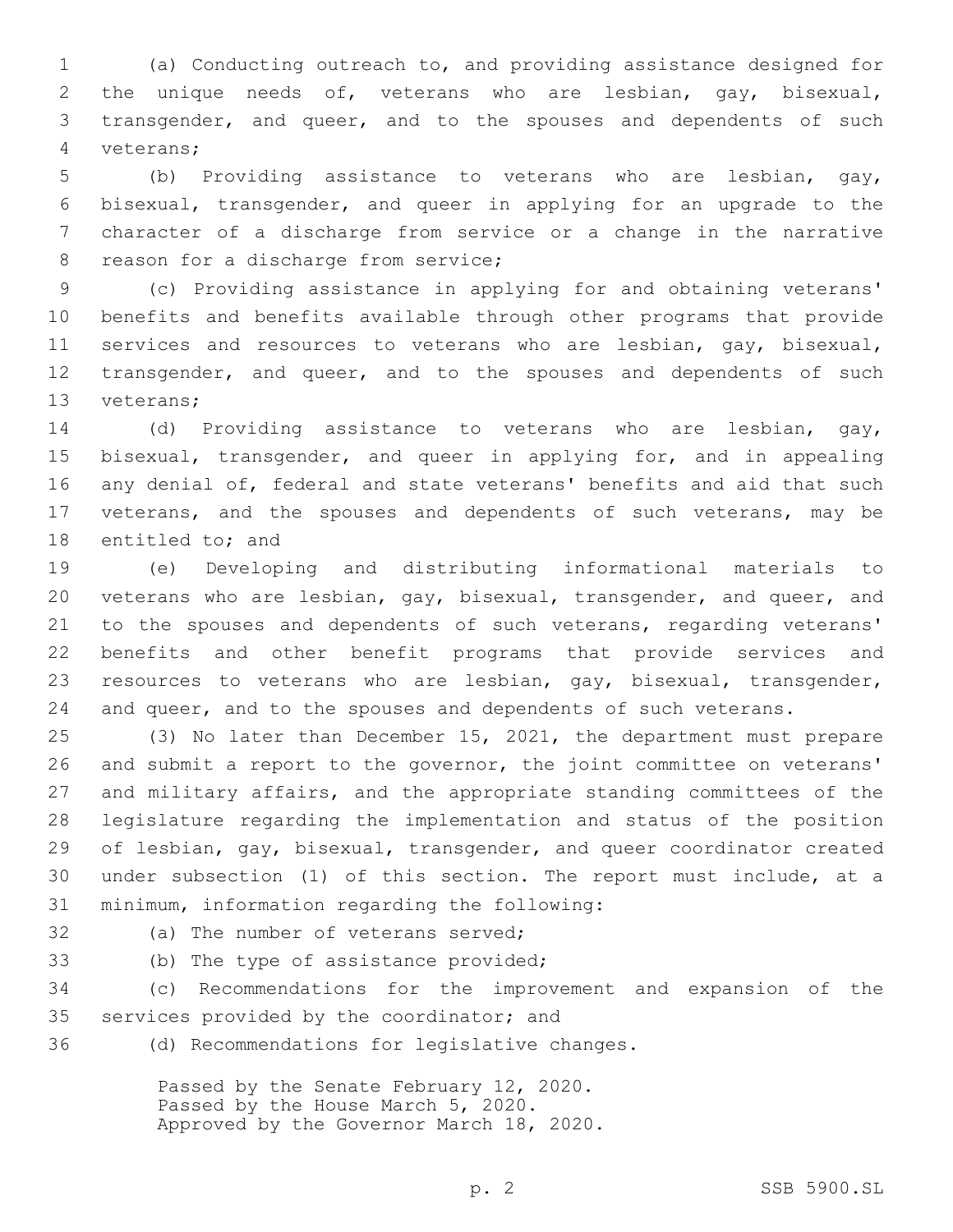(a) Conducting outreach to, and providing assistance designed for the unique needs of, veterans who are lesbian, gay, bisexual, transgender, and queer, and to the spouses and dependents of such veterans;4

 (b) Providing assistance to veterans who are lesbian, gay, bisexual, transgender, and queer in applying for an upgrade to the character of a discharge from service or a change in the narrative 8 reason for a discharge from service;

9 (c) Providing assistance in applying for and obtaining veterans' 10 benefits and benefits available through other programs that provide 11 services and resources to veterans who are lesbian, gay, bisexual, 12 transgender, and queer, and to the spouses and dependents of such 13 veterans;

14 (d) Providing assistance to veterans who are lesbian, gay, 15 bisexual, transgender, and queer in applying for, and in appealing 16 any denial of, federal and state veterans' benefits and aid that such 17 veterans, and the spouses and dependents of such veterans, may be 18 entitled to; and

 (e) Developing and distributing informational materials to veterans who are lesbian, gay, bisexual, transgender, and queer, and 21 to the spouses and dependents of such veterans, regarding veterans' benefits and other benefit programs that provide services and resources to veterans who are lesbian, gay, bisexual, transgender, and queer, and to the spouses and dependents of such veterans.

 (3) No later than December 15, 2021, the department must prepare and submit a report to the governor, the joint committee on veterans' and military affairs, and the appropriate standing committees of the legislature regarding the implementation and status of the position of lesbian, gay, bisexual, transgender, and queer coordinator created under subsection (1) of this section. The report must include, at a 31 minimum, information regarding the following:

- 
- 32 (a) The number of veterans served;
- 33 (b) The type of assistance provided;

34 (c) Recommendations for the improvement and expansion of the 35 services provided by the coordinator; and

36 (d) Recommendations for legislative changes.

Passed by the Senate February 12, 2020. Passed by the House March 5, 2020. Approved by the Governor March 18, 2020.